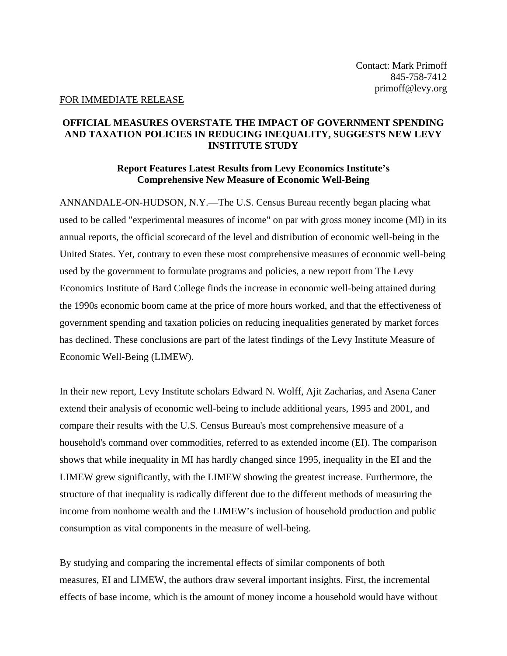## FOR IMMEDIATE RELEASE

## **OFFICIAL MEASURES OVERSTATE THE IMPACT OF GOVERNMENT SPENDING AND TAXATION POLICIES IN REDUCING INEQUALITY, SUGGESTS NEW LEVY INSTITUTE STUDY**

## **Report Features Latest Results from Levy Economics Institute's Comprehensive New Measure of Economic Well-Being**

ANNANDALE-ON-HUDSON, N.Y.—The U.S. Census Bureau recently began placing what used to be called "experimental measures of income" on par with gross money income (MI) in its annual reports, the official scorecard of the level and distribution of economic well-being in the United States. Yet, contrary to even these most comprehensive measures of economic well-being used by the government to formulate programs and policies, a new report from The Levy Economics Institute of Bard College finds the increase in economic well-being attained during the 1990s economic boom came at the price of more hours worked, and that the effectiveness of government spending and taxation policies on reducing inequalities generated by market forces has declined. These conclusions are part of the latest findings of the Levy Institute Measure of Economic Well-Being (LIMEW).

In their new report, Levy Institute scholars Edward N. Wolff, Ajit Zacharias, and Asena Caner extend their analysis of economic well-being to include additional years, 1995 and 2001, and compare their results with the U.S. Census Bureau's most comprehensive measure of a household's command over commodities, referred to as extended income (EI). The comparison shows that while inequality in MI has hardly changed since 1995, inequality in the EI and the LIMEW grew significantly, with the LIMEW showing the greatest increase. Furthermore, the structure of that inequality is radically different due to the different methods of measuring the income from nonhome wealth and the LIMEW's inclusion of household production and public consumption as vital components in the measure of well-being.

By studying and comparing the incremental effects of similar components of both measures, EI and LIMEW, the authors draw several important insights. First, the incremental effects of base income, which is the amount of money income a household would have without